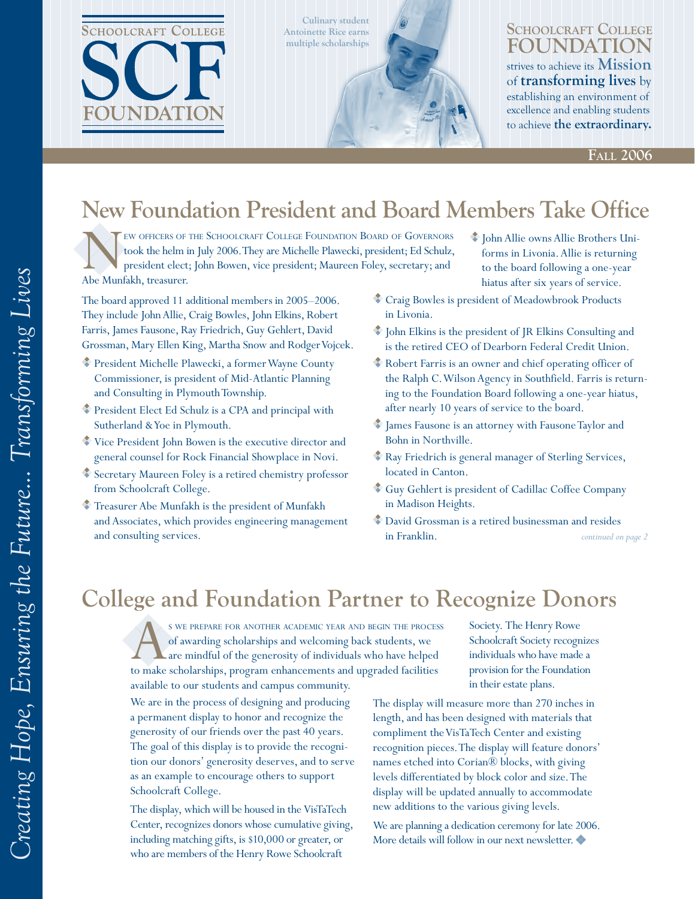

**Culinary student Antoinette Rice earns multiple scholarships**



### **Schoolcraft College Foundation** strives to achieve its **Mission** of **transforming lives** by establishing an environment of excellence and enabling students

to achieve **the extraordinary.**

**Fall 2006**

### **New Foundation President and Board Members Take Office**

EW OFFICERS OF THE SCHOOLCRAFT COLLEGE FOUNDATION BOARD OF GOVERNORS took the helm in July 2006. They are Michelle Plawecki, president; Ed Schulz, president elect; John Bowen, vice president; Maureen Foley, secretary; and Abe Munfakh, treasurer.

The board approved 11 additional members in 2005–2006. They include John Allie, Craig Bowles, John Elkins, Robert Farris, James Fausone, Ray Friedrich, Guy Gehlert, David Grossman, Mary Ellen King, Martha Snow and Rodger Vojcek.

- President Michelle Plawecki, a former Wayne County Commissioner, is president of Mid-Atlantic Planning and Consulting in Plymouth Township.
- President Elect Ed Schulz is a CPA and principal with Sutherland & Yoe in Plymouth.
- Vice President John Bowen is the executive director and general counsel for Rock Financial Showplace in Novi.
- Secretary Maureen Foley is a retired chemistry professor from Schoolcraft College.
- Treasurer Abe Munfakh is the president of Munfakh and Associates, which provides engineering management
- John Allie owns Allie Brothers Uniforms in Livonia. Allie is returning to the board following a one-year hiatus after six years of service.
- Craig Bowles is president of Meadowbrook Products in Livonia.
- John Elkins is the president of JR Elkins Consulting and is the retired CEO of Dearborn Federal Credit Union.
- Robert Farris is an owner and chief operating officer of the Ralph C. Wilson Agency in Southfield. Farris is returning to the Foundation Board following a one-year hiatus, after nearly 10 years of service to the board.
- James Fausone is an attorney with Fausone Taylor and Bohn in Northville.
- Ray Friedrich is general manager of Sterling Services, located in Canton.
- Guy Gehlert is president of Cadillac Coffee Company in Madison Heights.
- and consulting services. *continued on page*  David Grossman is a retired businessman and resides in Franklin.

### **College and Foundation Partner to Recognize Donors**

S WE PREPARE FOR ANOTHER ACADEMIC YEAR AND BEGIN THE PROCESS of awarding scholarships and welcoming back students, we are mindful of the generosity of individuals who have helped to make scholarships, program enhancements of awarding scholarships and welcoming back students, we are mindful of the generosity of individuals who have helped to make scholarships, program enhancements and upgraded facilities available to our students and campus community.

We are in the process of designing and producing a permanent display to honor and recognize the generosity of our friends over the past 40 years. The goal of this display is to provide the recognition our donors' generosity deserves, and to serve as an example to encourage others to support Schoolcraft College.

The display, which will be housed in the VisTaTech Center, recognizes donors whose cumulative giving, including matching gifts, is \$10,000 or greater, or who are members of the Henry Rowe Schoolcraft

Society. The Henry Rowe Schoolcraft Society recognizes individuals who have made a provision for the Foundation in their estate plans.

The display will measure more than 270 inches in length, and has been designed with materials that compliment the VisTaTech Center and existing recognition pieces. The display will feature donors' names etched into Corian® blocks, with giving levels differentiated by block color and size. The display will be updated annually to accommodate new additions to the various giving levels.

We are planning a dedication ceremony for late 2006. More details will follow in our next newsletter.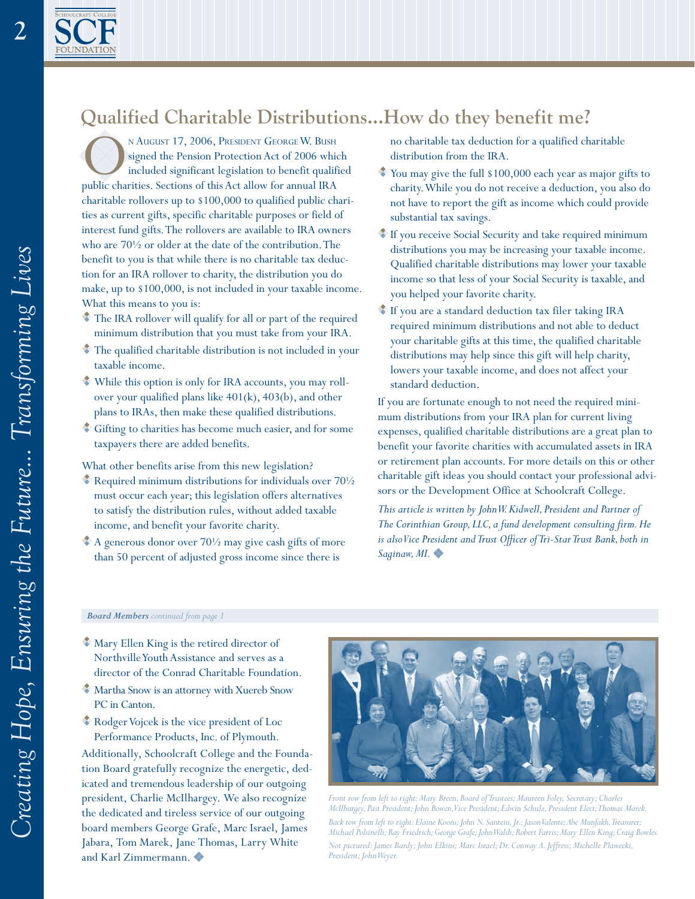$\overline{2}$ 

### **Qualified Charitable Distributions…How do they benefit me?**

N August 17, 2006, PRESIDENT GEORGE W. BUSH<br>
signed the Pension Protection Act of 2006 which<br>
included significant legislation to benefit qualificant<br>
public charities. Sections of this Act allow for annual IRA signed the Pension Protection Act of 2006 which included significant legislation to benefit qualified charitable rollovers up to \$100,000 to qualified public charities as current gifts, specific charitable purposes or field of interest fund gifts. The rollovers are available to IRA owners who are 70½ or older at the date of the contribution. The benefit to you is that while there is no charitable tax deduction for an IRA rollover to charity, the distribution you do make, up to \$100,000, is not included in your taxable income. What this means to you is:

- The IRA rollover will qualify for all or part of the required minimum distribution that you must take from your IRA.
- $\bullet$  The qualified charitable distribution is not included in your taxable income.
- While this option is only for IRA accounts, you may rollover your qualified plans like 401(k), 403(b), and other plans to IRAs, then make these qualified distributions.
- Gifting to charities has become much easier, and for some taxpayers there are added benefits.

What other benefits arise from this new legislation?

- $\bullet$  Required minimum distributions for individuals over  $70\frac{1}{2}$ must occur each year; this legislation offers alternatives to satisfy the distribution rules, without added taxable income, and benefit your favorite charity.
- A generous donor over 701/2 may give cash gifts of more than 50 percent of adjusted gross income since there is

no charitable tax deduction for a qualified charitable distribution from the IRA.

- You may give the full \$100,000 each year as major gifts to charity. While you do not receive a deduction, you also do not have to report the gift as income which could provide substantial tax savings.
- If you receive Social Security and take required minimum distributions you may be increasing your taxable income. Qualified charitable distributions may lower your taxable income so that less of your Social Security is taxable, and you helped your favorite charity.
- If you are a standard deduction tax filer taking IRA required minimum distributions and not able to deduct your charitable gifts at this time, the qualified charitable distributions may help since this gift will help charity, lowers your taxable income, and does not affect your standard deduction.

If you are fortunate enough to not need the required minimum distributions from your IRA plan for current living expenses, qualified charitable distributions are a great plan to benefit your favorite charities with accumulated assets in IRA or retirement plan accounts. For more details on this or other charitable gift ideas you should contact your professional advisors or the Development Office at Schoolcraft College.

*This article is written by John W. Kidwell, President and Partner of The Corinthian Group, LLC, a fund development consulting firm. He is also Vice President and Trust Officer of Tri-Star Trust Bank, both in Saginaw, MI.*

#### *Board Members continued from page*

- Mary Ellen King is the retired director of Northville Youth Assistance and serves as a director of the Conrad Charitable Foundation.
- Martha Snow is an attorney with Xuereb Snow PC in Canton.
- Rodger Vojcek is the vice president of Loc Performance Products, Inc. of Plymouth.

Additionally, Schoolcraft College and the Foundation Board gratefully recognize the energetic, dedicated and tremendous leadership of our outgoing president, Charlie McIlhargey. We also recognize the dedicated and tireless service of our outgoing board members George Grafe, Marc Israel, James Jabara, Tom Marek, Jane Thomas, Larry White and Karl Zimmermann.



*Front row from left to right: Mary Breen, Board of Trustees; Maureen Foley, Secretary; Charles McIlhargey, Past President; John Bowen, Vice President; Edwin Schulz, President Elect; Thomas Marek. Back row from left to right: Elaine Koons; John N. Santeiu, Jr.; Jason Valente; Abe Munfakh, Treasurer; Michael Polsinelli; Ray Friedrich; George Grafe; John Walsh; Robert Farris; Mary Ellen King; Craig Bowles. Not pictured: James Bardy; John Elkins; Marc Israel; Dr. Conway A. Jeffress; Michelle Plawecki, President; John Weyer.*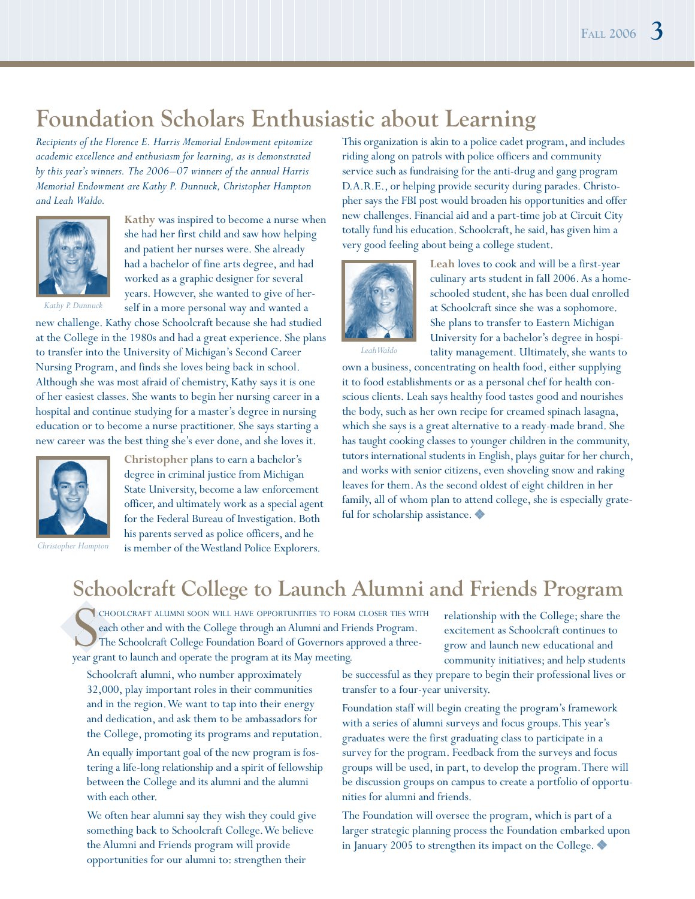### **Foundation Scholars Enthusiastic about Learning**

*Recipients of the Florence E. Harris Memorial Endowment epitomize academic excellence and enthusiasm for learning, as is demonstrated by this year's winners. The 2006–07 winners of the annual Harris Memorial Endowment are Kathy P. Dunnuck, Christopher Hampton and Leah Waldo.*



**Kathy** was inspired to become a nurse when she had her first child and saw how helping and patient her nurses were. She already had a bachelor of fine arts degree, and had worked as a graphic designer for several years. However, she wanted to give of herself in a more personal way and wanted a

*Kathy P. Dunnuck*

new challenge. Kathy chose Schoolcraft because she had studied at the College in the 1980s and had a great experience. She plans to transfer into the University of Michigan's Second Career Nursing Program, and finds she loves being back in school. Although she was most afraid of chemistry, Kathy says it is one of her easiest classes. She wants to begin her nursing career in a hospital and continue studying for a master's degree in nursing education or to become a nurse practitioner. She says starting a new career was the best thing she's ever done, and she loves it.



*Christopher Hampton*

**Christopher** plans to earn a bachelor's degree in criminal justice from Michigan State University, become a law enforcement officer, and ultimately work as a special agent for the Federal Bureau of Investigation. Both his parents served as police officers, and he is member of the Westland Police Explorers.

This organization is akin to a police cadet program, and includes riding along on patrols with police officers and community service such as fundraising for the anti-drug and gang program D.A.R.E., or helping provide security during parades. Christopher says the FBI post would broaden his opportunities and offer new challenges. Financial aid and a part-time job at Circuit City totally fund his education. Schoolcraft, he said, has given him a very good feeling about being a college student.



**Leah** loves to cook and will be a first-year culinary arts student in fall 2006. As a homeschooled student, she has been dual enrolled at Schoolcraft since she was a sophomore. She plans to transfer to Eastern Michigan University for a bachelor's degree in hospitality management. Ultimately, she wants to

*Leah Waldo*

own a business, concentrating on health food, either supplying it to food establishments or as a personal chef for health conscious clients. Leah says healthy food tastes good and nourishes the body, such as her own recipe for creamed spinach lasagna, which she says is a great alternative to a ready-made brand. She has taught cooking classes to younger children in the community, tutors international students in English, plays guitar for her church, and works with senior citizens, even shoveling snow and raking leaves for them. As the second oldest of eight children in her family, all of whom plan to attend college, she is especially grateful for scholarship assistance.

### **Schoolcraft College to Launch Alumni and Friends Program**

CHOOLCRAFT ALUMNI SOON WILL HAVE OPPORTUNITIES TO FORM each other and with the College through an Alumni and Fri<br>The Schoolcraft College Foundation Board of Governors appear grant to launch and operate the program at its M choolcraft alumni soon will have opportunities to form closer ties with each other and with the College through an Alumni and Friends Program. The Schoolcraft College Foundation Board of Governors approved a three-

relationship with the College; share the excitement as Schoolcraft continues to grow and launch new educational and community initiatives; and help students

Schoolcraft alumni, who number approximately 32,000, play important roles in their communities and in the region. We want to tap into their energy and dedication, and ask them to be ambassadors for the College, promoting its programs and reputation.

An equally important goal of the new program is fostering a life-long relationship and a spirit of fellowship between the College and its alumni and the alumni with each other.

We often hear alumni say they wish they could give something back to Schoolcraft College. We believe the Alumni and Friends program will provide opportunities for our alumni to: strengthen their

be successful as they prepare to begin their professional lives or transfer to a four-year university.

Foundation staff will begin creating the program's framework with a series of alumni surveys and focus groups. This year's graduates were the first graduating class to participate in a survey for the program. Feedback from the surveys and focus groups will be used, in part, to develop the program. There will be discussion groups on campus to create a portfolio of opportunities for alumni and friends.

The Foundation will oversee the program, which is part of a larger strategic planning process the Foundation embarked upon in January 2005 to strengthen its impact on the College.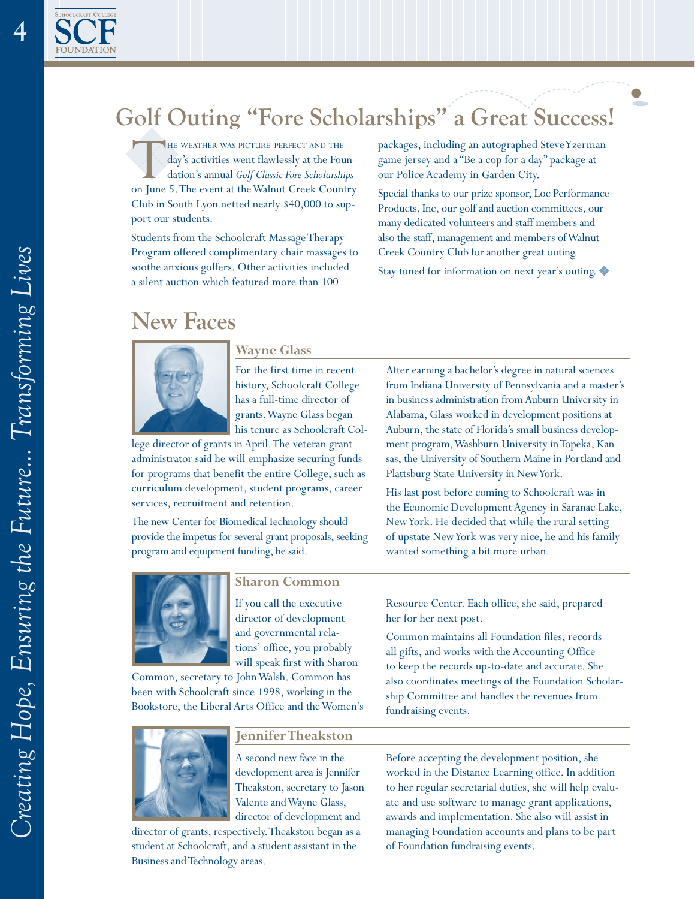

 $\overline{4}$ 

## **Golf Outing "Fore Scholarships" a Great Success!**

THE WEATHER WAS PICTURE-PERFECT AND THE<br>
day's activities went flawlessly at the Foun-<br>
dation's annual *Golf Classic Fore Scholarships*<br>
on June 5. The event at the Walnut Creek Country day's activities went flawlessly at the Foundation's annual *Golf Classic Fore Scholarships*  Club in South Lyon netted nearly \$40,000 to support our students.

Students from the Schoolcraft Massage Therapy Program offered complimentary chair massages to soothe anxious golfers. Other activities included a silent auction which featured more than 100

packages, including an autographed Steve Yzerman game jersey and a "Be a cop for a day" package at our Police Academy in Garden City.

Special thanks to our prize sponsor, Loc Performance Products, Inc, our golf and auction committees, our many dedicated volunteers and staff members and also the staff, management and members of Walnut Creek Country Club for another great outing.

Stay tuned for information on next year's outing.

### **New Faces**



**Wayne Glass**

For the first time in recent history, Schoolcraft College has a full-time director of grants. Wayne Glass began his tenure as Schoolcraft Col-

lege director of grants in April. The veteran grant administrator said he will emphasize securing funds for programs that benefit the entire College, such as curriculum development, student programs, career services, recruitment and retention.

The new Center for Biomedical Technology should provide the impetus for several grant proposals, seeking program and equipment funding, he said.

After earning a bachelor's degree in natural sciences from Indiana University of Pennsylvania and a master's in business administration from Auburn University in Alabama, Glass worked in development positions at Auburn, the state of Florida's small business development program, Washburn University in Topeka, Kansas, the University of Southern Maine in Portland and Plattsburg State University in New York.

His last post before coming to Schoolcraft was in the Economic Development Agency in Saranac Lake, New York. He decided that while the rural setting of upstate New York was very nice, he and his family wanted something a bit more urban.



### **Sharon Common**

If you call the executive director of development and governmental relations' office, you probably will speak first with Sharon

Common, secretary to John Walsh. Common has been with Schoolcraft since 1998, working in the Bookstore, the Liberal Arts Office and the Women's



### **Jennifer Theakston**

A second new face in the development area is Jennifer Theakston, secretary to Jason Valente and Wayne Glass, director of development and

director of grants, respectively. Theakston began as a student at Schoolcraft, and a student assistant in the Business and Technology areas.

Resource Center. Each office, she said, prepared her for her next post.

Common maintains all Foundation files, records all gifts, and works with the Accounting Office to keep the records up-to-date and accurate. She also coordinates meetings of the Foundation Scholarship Committee and handles the revenues from fundraising events.

Before accepting the development position, she worked in the Distance Learning office. In addition to her regular secretarial duties, she will help evaluate and use software to manage grant applications, awards and implementation. She also will assist in managing Foundation accounts and plans to be part of Foundation fundraising events.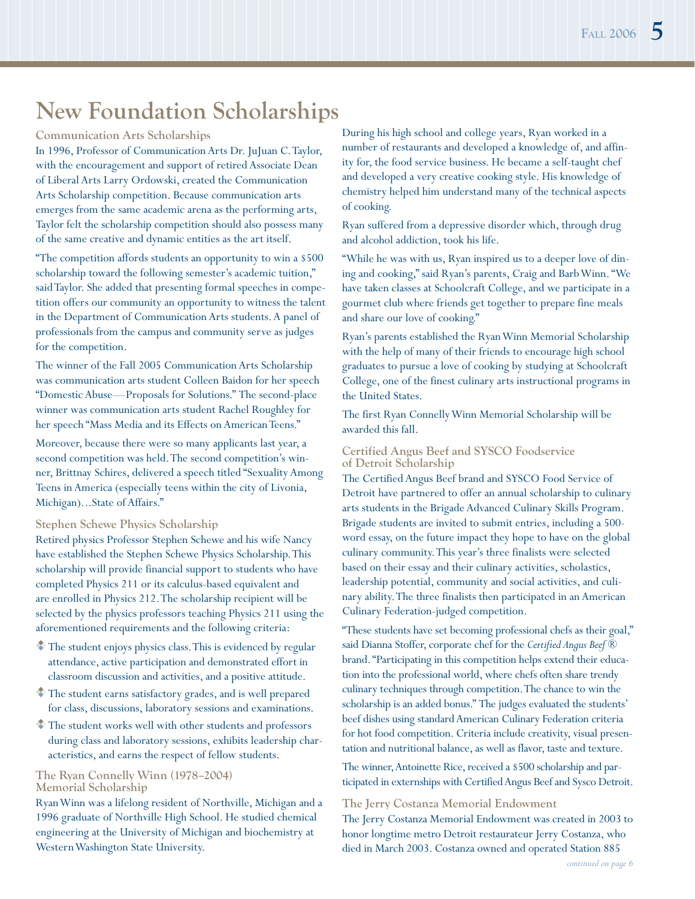### **New Foundation Scholarships**

#### **Communication Arts Scholarships**

In 1996, Professor of Communication Arts Dr. JuJuan C. Taylor, with the encouragement and support of retired Associate Dean of Liberal Arts Larry Ordowski, created the Communication Arts Scholarship competition. Because communication arts emerges from the same academic arena as the performing arts, Taylor felt the scholarship competition should also possess many of the same creative and dynamic entities as the art itself.

"The competition affords students an opportunity to win a \$500 scholarship toward the following semester's academic tuition," said Taylor. She added that presenting formal speeches in competition offers our community an opportunity to witness the talent in the Department of Communication Arts students. A panel of professionals from the campus and community serve as judges for the competition.

The winner of the Fall 2005 Communication Arts Scholarship was communication arts student Colleen Baidon for her speech "Domestic Abuse—Proposals for Solutions." The second-place winner was communication arts student Rachel Roughley for her speech "Mass Media and its Effects on American Teens."

Moreover, because there were so many applicants last year, a second competition was held. The second competition's winner, Brittnay Schires, delivered a speech titled "Sexuality Among Teens in America (especially teens within the city of Livonia, Michigan)...State of Affairs."

#### **Stephen Schewe Physics Scholarship**

Retired physics Professor Stephen Schewe and his wife Nancy have established the Stephen Schewe Physics Scholarship. This scholarship will provide financial support to students who have completed Physics 211 or its calculus-based equivalent and are enrolled in Physics 212. The scholarship recipient will be selected by the physics professors teaching Physics 211 using the aforementioned requirements and the following criteria:

- $\bullet$  The student enjoys physics class. This is evidenced by regular attendance, active participation and demonstrated effort in classroom discussion and activities, and a positive attitude.
- The student earns satisfactory grades, and is well prepared for class, discussions, laboratory sessions and examinations.
- The student works well with other students and professors during class and laboratory sessions, exhibits leadership characteristics, and earns the respect of fellow students.

### **The Ryan Connelly Winn (1978–2004) Memorial Scholarship**

Ryan Winn was a lifelong resident of Northville, Michigan and a 1996 graduate of Northville High School. He studied chemical engineering at the University of Michigan and biochemistry at Western Washington State University.

During his high school and college years, Ryan worked in a number of restaurants and developed a knowledge of, and affinity for, the food service business. He became a self-taught chef and developed a very creative cooking style. His knowledge of chemistry helped him understand many of the technical aspects of cooking.

Ryan suffered from a depressive disorder which, through drug and alcohol addiction, took his life.

"While he was with us, Ryan inspired us to a deeper love of dining and cooking," said Ryan's parents, Craig and Barb Winn. "We have taken classes at Schoolcraft College, and we participate in a gourmet club where friends get together to prepare fine meals and share our love of cooking."

Ryan's parents established the Ryan Winn Memorial Scholarship with the help of many of their friends to encourage high school graduates to pursue a love of cooking by studying at Schoolcraft College, one of the finest culinary arts instructional programs in the United States.

The first Ryan Connelly Winn Memorial Scholarship will be awarded this fall.

### **Certified Angus Beef and SYSCO Foodservice of Detroit Scholarship**

The Certified Angus Beef brand and SYSCO Food Service of Detroit have partnered to offer an annual scholarship to culinary arts students in the Brigade Advanced Culinary Skills Program. Brigade students are invited to submit entries, including a 500 word essay, on the future impact they hope to have on the global culinary community. This year's three finalists were selected based on their essay and their culinary activities, scholastics, leadership potential, community and social activities, and culinary ability. The three finalists then participated in an American Culinary Federation-judged competition.

"These students have set becoming professional chefs as their goal," said Dianna Stoffer, corporate chef for the *Certified Angus Beef* ® brand. "Participating in this competition helps extend their education into the professional world, where chefs often share trendy culinary techniques through competition. The chance to win the scholarship is an added bonus." The judges evaluated the students' beef dishes using standard American Culinary Federation criteria for hot food competition. Criteria include creativity, visual presentation and nutritional balance, as well as flavor, taste and texture.

The winner, Antoinette Rice, received a \$500 scholarship and participated in externships with Certified Angus Beef and Sysco Detroit.

### **The Jerry Costanza Memorial Endowment** The Jerry Costanza Memorial Endowment was created in 2003 to honor longtime metro Detroit restaurateur Jerry Costanza, who died in March 2003. Costanza owned and operated Station 885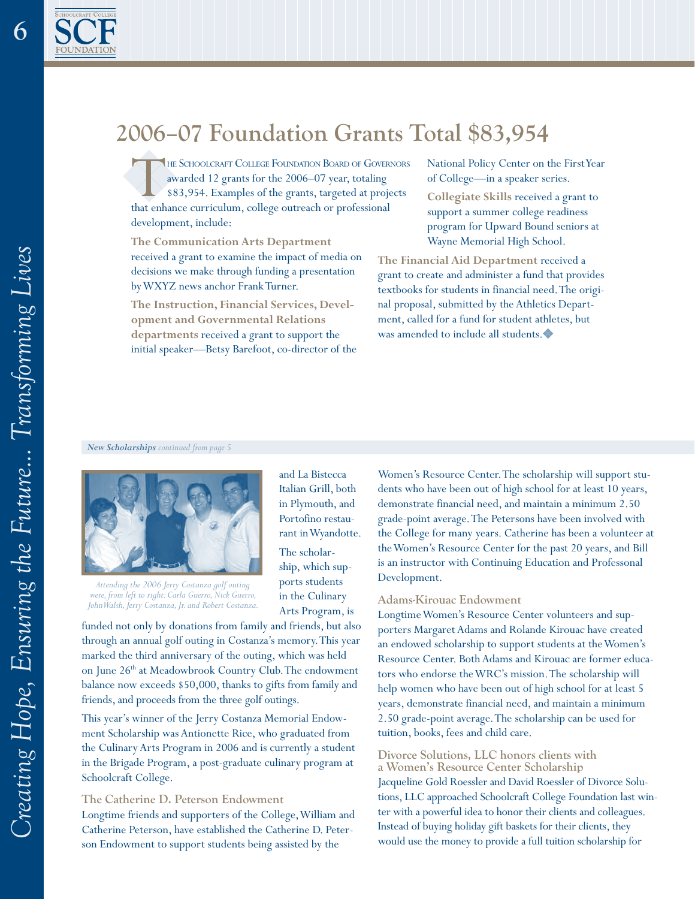

### **2006–07 Foundation Grants Total \$83,954**

and La Bistecca Italian Grill, both in Plymouth, and Portofino restaurant in Wyandotte. The scholarship, which supports students in the Culinary Arts Program, is

THE SCHOOLCRAFT COLLEGE FOUNDATION BOARD OF GOVERNORS awarded 12 grants for the 2006–07 year, totaling \$83,954. Examples of the grants, targeted at projects that enhance curriculum, college outreach or professional development, include:

**The Communication Arts Department**  received a grant to examine the impact of media on decisions we make through funding a presentation by WXYZ news anchor Frank Turner.

**The Instruction, Financial Services, Development and Governmental Relations departments** received a grant to support the initial speaker—Betsy Barefoot, co-director of the

National Policy Center on the First Year of College—in a speaker series.

**Collegiate Skills** received a grant to support a summer college readiness program for Upward Bound seniors at Wayne Memorial High School.

**The Financial Aid Department** received a grant to create and administer a fund that provides textbooks for students in financial need. The original proposal, submitted by the Athletics Department, called for a fund for student athletes, but was amended to include all students.

#### *New Scholarships continued from page*



*Attending the 2006 Jerry Costanza golf outing were, from left to right: Carla Guerro, Nick Guerro, John Walsh, Jerry Costanza, Jr. and Robert Costanza.*

funded not only by donations from family and friends, but also through an annual golf outing in Costanza's memory. This year marked the third anniversary of the outing, which was held on June 26<sup>th</sup> at Meadowbrook Country Club. The endowment balance now exceeds \$50,000, thanks to gifts from family and friends, and proceeds from the three golf outings.

This year's winner of the Jerry Costanza Memorial Endowment Scholarship was Antionette Rice, who graduated from the Culinary Arts Program in 2006 and is currently a student in the Brigade Program, a post-graduate culinary program at Schoolcraft College.

### **The Catherine D. Peterson Endowment** Longtime friends and supporters of the College, William and Catherine Peterson, have established the Catherine D. Peterson Endowment to support students being assisted by the

Women's Resource Center. The scholarship will support students who have been out of high school for at least 10 years, demonstrate financial need, and maintain a minimum 2.50 grade-point average. The Petersons have been involved with the College for many years. Catherine has been a volunteer at the Women's Resource Center for the past 20 years, and Bill is an instructor with Continuing Education and Professonal Development.

#### **Adams-Kirouac Endowment**

Longtime Women's Resource Center volunteers and supporters Margaret Adams and Rolande Kirouac have created an endowed scholarship to support students at the Women's Resource Center. Both Adams and Kirouac are former educators who endorse the WRC's mission. The scholarship will help women who have been out of high school for at least 5 years, demonstrate financial need, and maintain a minimum 2.50 grade-point average. The scholarship can be used for tuition, books, fees and child care.

#### **Divorce Solutions, LLC honors clients with a Women's Resource Center Scholarship**

Jacqueline Gold Roessler and David Roessler of Divorce Solutions, LLC approached Schoolcraft College Foundation last winter with a powerful idea to honor their clients and colleagues. Instead of buying holiday gift baskets for their clients, they would use the money to provide a full tuition scholarship for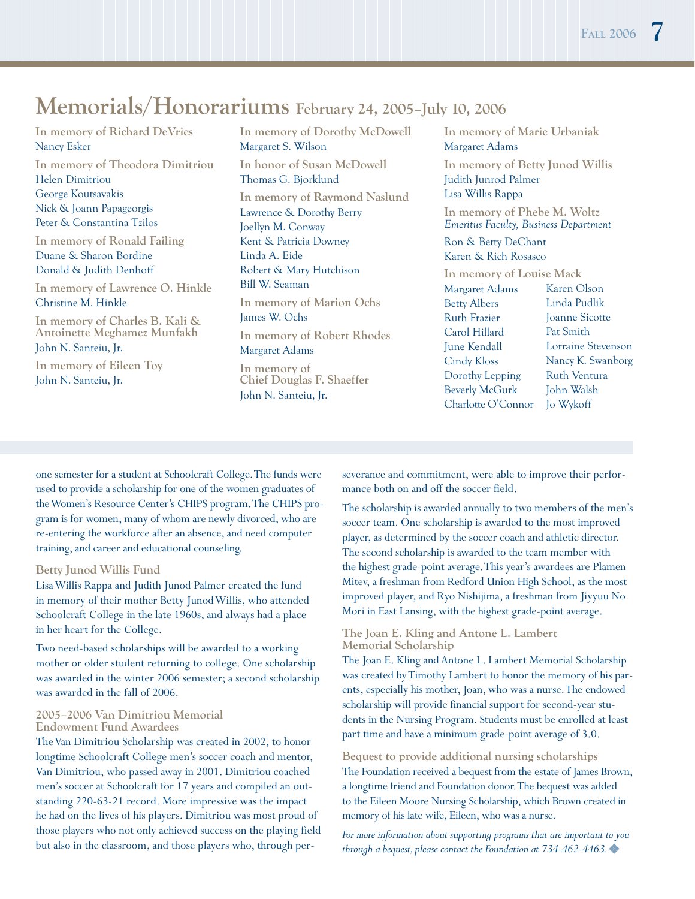### **Memorials/Honorariums February 24, 2005–July 10, 2006**

**In memory of Richard DeVries**  Nancy Esker

**In memory of Theodora Dimitriou**  Helen Dimitriou George Koutsavakis Nick & Joann Papageorgis Peter & Constantina Tzilos

**In memory of Ronald Failing** Duane & Sharon Bordine Donald & Judith Denhoff

**In memory of Lawrence O. Hinkle** Christine M. Hinkle

**In memory of Charles B. Kali & Antoinette Meghamez Munfakh**  John N. Santeiu, Jr.

**In memory of Eileen Toy** John N. Santeiu, Jr.

**In memory of Dorothy McDowell**  Margaret S. Wilson

**In honor of Susan McDowell** Thomas G. Bjorklund **In memory of Raymond Naslund**  Lawrence & Dorothy Berry Joellyn M. Conway Kent & Patricia Downey Linda A. Eide Robert & Mary Hutchison Bill W. Seaman **In memory of Marion Ochs**

James W. Ochs

**In memory of Robert Rhodes**  Margaret Adams **In memory of** 

**Chief Douglas F. Shaeffer**  John N. Santeiu, Jr.

**In memory of Marie Urbaniak**  Margaret Adams

**In memory of Betty Junod Willis**  Judith Junrod Palmer Lisa Willis Rappa

**In memory of Phebe M. Woltz** *Emeritus Faculty, Business Department* 

Ron & Betty DeChant Karen & Rich Rosasco

**In memory of Louise Mack**  Margaret Adams Betty Albers Ruth Frazier Carol Hillard June Kendall Cindy Kloss Dorothy Lepping Beverly McGurk Charlotte O'Connor Karen Olson Linda Pudlik Joanne Sicotte Pat Smith Lorraine Stevenson Nancy K. Swanborg Ruth Ventura John Walsh Jo Wykoff

one semester for a student at Schoolcraft College. The funds were used to provide a scholarship for one of the women graduates of the Women's Resource Center's CHIPS program. The CHIPS program is for women, many of whom are newly divorced, who are re-entering the workforce after an absence, and need computer training, and career and educational counseling.

#### **Betty Junod Willis Fund**

Lisa Willis Rappa and Judith Junod Palmer created the fund in memory of their mother Betty Junod Willis, who attended Schoolcraft College in the late 1960s, and always had a place in her heart for the College.

Two need-based scholarships will be awarded to a working mother or older student returning to college. One scholarship was awarded in the winter 2006 semester; a second scholarship was awarded in the fall of 2006.

#### **2005–2006 Van Dimitriou Memorial Endowment Fund Awardees**

The Van Dimitriou Scholarship was created in 2002, to honor longtime Schoolcraft College men's soccer coach and mentor, Van Dimitriou, who passed away in 2001. Dimitriou coached men's soccer at Schoolcraft for 17 years and compiled an outstanding 220-63-21 record. More impressive was the impact he had on the lives of his players. Dimitriou was most proud of those players who not only achieved success on the playing field but also in the classroom, and those players who, through perseverance and commitment, were able to improve their performance both on and off the soccer field.

The scholarship is awarded annually to two members of the men's soccer team. One scholarship is awarded to the most improved player, as determined by the soccer coach and athletic director. The second scholarship is awarded to the team member with the highest grade-point average. This year's awardees are Plamen Mitev, a freshman from Redford Union High School, as the most improved player, and Ryo Nishijima, a freshman from Jiyyuu No Mori in East Lansing, with the highest grade-point average.

#### **The Joan E. Kling and Antone L. Lambert Memorial Scholarship**

The Joan E. Kling and Antone L. Lambert Memorial Scholarship was created by Timothy Lambert to honor the memory of his parents, especially his mother, Joan, who was a nurse. The endowed scholarship will provide financial support for second-year students in the Nursing Program. Students must be enrolled at least part time and have a minimum grade-point average of 3.0.

**Bequest to provide additional nursing scholarships** The Foundation received a bequest from the estate of James Brown, a longtime friend and Foundation donor. The bequest was added to the Eileen Moore Nursing Scholarship, which Brown created in memory of his late wife, Eileen, who was a nurse.

*For more information about supporting programs that are important to you through a bequest, please contact the Foundation at 734-462-4463.*